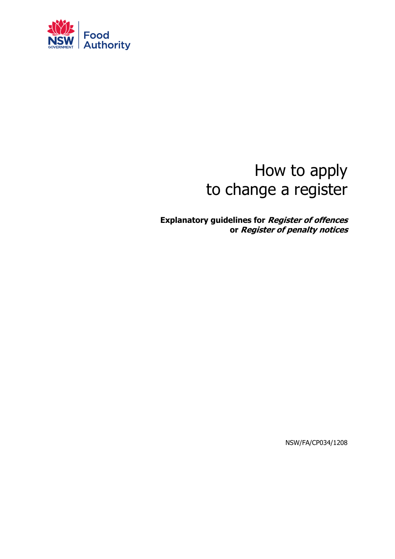

# How to apply to change a register

**Explanatory guidelines for Register of offences or Register of penalty notices**

NSW/FA/CP034/1208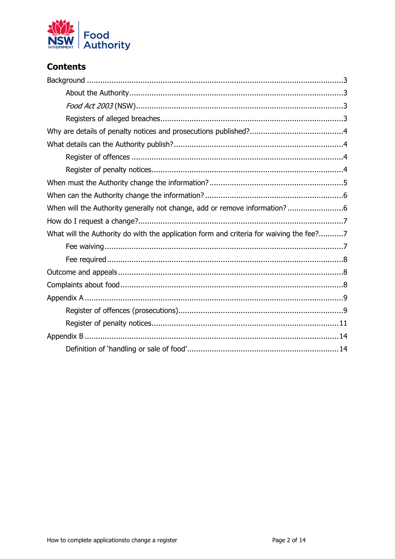

# **Contents**

| What will the Authority do with the application form and criteria for waiving the fee?7 |
|-----------------------------------------------------------------------------------------|
|                                                                                         |
|                                                                                         |
|                                                                                         |
|                                                                                         |
|                                                                                         |
|                                                                                         |
|                                                                                         |
|                                                                                         |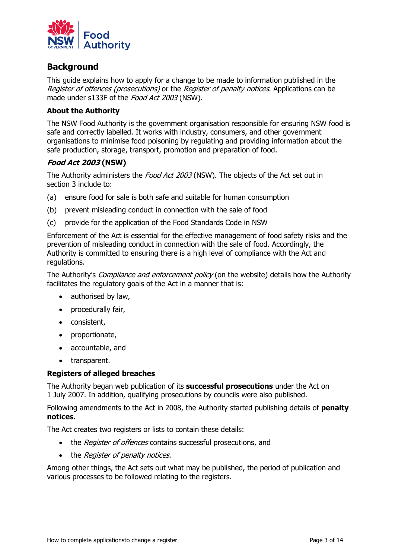

# <span id="page-2-0"></span>**Background**

This guide explains how to apply for a change to be made to information published in the Register of offences (prosecutions) or the Register of penalty notices. Applications can be made under s133F of the Food Act 2003 (NSW).

## <span id="page-2-1"></span>**About the Authority**

The NSW Food Authority is the government organisation responsible for ensuring NSW food is safe and correctly labelled. It works with industry, consumers, and other government organisations to minimise food poisoning by regulating and providing information about the safe production, storage, transport, promotion and preparation of food.

## <span id="page-2-2"></span>**Food Act 2003 (NSW)**

The Authority administers the Food Act 2003 (NSW). The objects of the Act set out in section 3 include to:

- (a) ensure food for sale is both safe and suitable for human consumption
- (b) prevent misleading conduct in connection with the sale of food
- (c) provide for the application of the Food Standards Code in NSW

Enforcement of the Act is essential for the effective management of food safety risks and the prevention of misleading conduct in connection with the sale of food. Accordingly, the Authority is committed to ensuring there is a high level of compliance with the Act and regulations.

The Authority's *Compliance and enforcement policy* (on the website) details how the Authority facilitates the regulatory goals of the Act in a manner that is:

- authorised by law,
- procedurally fair,
- consistent,
- proportionate,
- accountable, and
- transparent.

#### <span id="page-2-3"></span>**Registers of alleged breaches**

The Authority began web publication of its **successful prosecutions** under the Act on 1 July 2007. In addition, qualifying prosecutions by councils were also published.

Following amendments to the Act in 2008, the Authority started publishing details of **penalty notices.**

The Act creates two registers or lists to contain these details:

- the Register of offences contains successful prosecutions, and
- the *Register of penalty notices*.

Among other things, the Act sets out what may be published, the period of publication and various processes to be followed relating to the registers.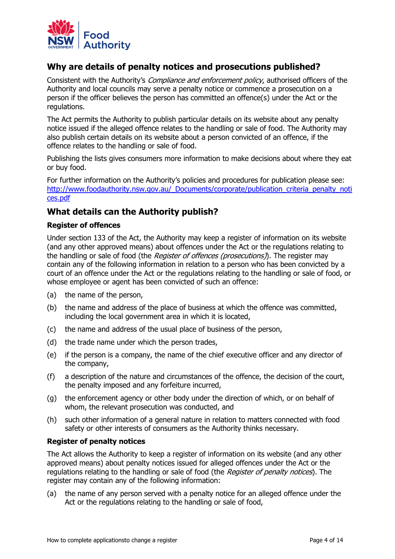

# <span id="page-3-0"></span>**Why are details of penalty notices and prosecutions published?**

Consistent with the Authority's *Compliance and enforcement policy*, authorised officers of the Authority and local councils may serve a penalty notice or commence a prosecution on a person if the officer believes the person has committed an offence(s) under the Act or the regulations.

The Act permits the Authority to publish particular details on its website about any penalty notice issued if the alleged offence relates to the handling or sale of food. The Authority may also publish certain details on its website about a person convicted of an offence, if the offence relates to the handling or sale of food.

Publishing the lists gives consumers more information to make decisions about where they eat or buy food.

For further information on the Authority's policies and procedures for publication please see: http://www.foodauthority.nsw.gov.au/ Documents/corporate/publication criteria penalty noti [ces.pdf](http://www.foodauthority.nsw.gov.au/_Documents/corporate/publication_criteria_penalty_notices.pdf)

# <span id="page-3-1"></span>**What details can the Authority publish?**

#### <span id="page-3-2"></span>**Register of offences**

Under section 133 of the Act, the Authority may keep a register of information on its website (and any other approved means) about offences under the Act or the regulations relating to the handling or sale of food (the Register of offences (prosecutions)). The register may contain any of the following information in relation to a person who has been convicted by a court of an offence under the Act or the regulations relating to the handling or sale of food, or whose employee or agent has been convicted of such an offence:

- (a) the name of the person,
- (b) the name and address of the place of business at which the offence was committed, including the local government area in which it is located,
- (c) the name and address of the usual place of business of the person,
- (d) the trade name under which the person trades,
- (e) if the person is a company, the name of the chief executive officer and any director of the company,
- (f) a description of the nature and circumstances of the offence, the decision of the court, the penalty imposed and any forfeiture incurred,
- (g) the enforcement agency or other body under the direction of which, or on behalf of whom, the relevant prosecution was conducted, and
- (h) such other information of a general nature in relation to matters connected with food safety or other interests of consumers as the Authority thinks necessary.

#### <span id="page-3-3"></span>**Register of penalty notices**

The Act allows the Authority to keep a register of information on its website (and any other approved means) about penalty notices issued for alleged offences under the Act or the regulations relating to the handling or sale of food (the *Register of penalty notices*). The register may contain any of the following information:

(a) the name of any person served with a penalty notice for an alleged offence under the Act or the regulations relating to the handling or sale of food,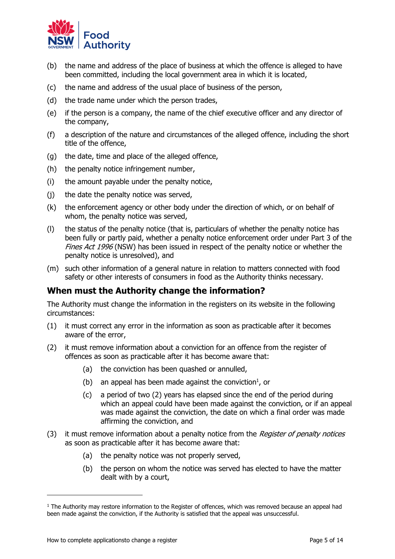

- (b) the name and address of the place of business at which the offence is alleged to have been committed, including the local government area in which it is located,
- (c) the name and address of the usual place of business of the person,
- (d) the trade name under which the person trades,
- (e) if the person is a company, the name of the chief executive officer and any director of the company,
- (f) a description of the nature and circumstances of the alleged offence, including the short title of the offence,
- (g) the date, time and place of the alleged offence,
- (h) the penalty notice infringement number,
- (i) the amount payable under the penalty notice,
- (j) the date the penalty notice was served,
- (k) the enforcement agency or other body under the direction of which, or on behalf of whom, the penalty notice was served,
- (l) the status of the penalty notice (that is, particulars of whether the penalty notice has been fully or partly paid, whether a penalty notice enforcement order under Part 3 of the Fines Act 1996 (NSW) has been issued in respect of the penalty notice or whether the penalty notice is unresolved), and
- (m) such other information of a general nature in relation to matters connected with food safety or other interests of consumers in food as the Authority thinks necessary.

# <span id="page-4-0"></span>**When must the Authority change the information?**

The Authority must change the information in the registers on its website in the following circumstances:

- (1) it must correct any error in the information as soon as practicable after it becomes aware of the error,
- (2) it must remove information about a conviction for an offence from the register of offences as soon as practicable after it has become aware that:
	- (a) the conviction has been quashed or annulled,
	- (b) an appeal has been made against the conviction<sup>1</sup>, or
	- (c) a period of two (2) years has elapsed since the end of the period during which an appeal could have been made against the conviction, or if an appeal was made against the conviction, the date on which a final order was made affirming the conviction, and
- (3) it must remove information about a penalty notice from the *Register of penalty notices* as soon as practicable after it has become aware that:
	- (a) the penalty notice was not properly served,
	- (b) the person on whom the notice was served has elected to have the matter dealt with by a court,

j

 $<sup>1</sup>$  The Authority may restore information to the Register of offences, which was removed because an appeal had</sup> been made against the conviction, if the Authority is satisfied that the appeal was unsuccessful.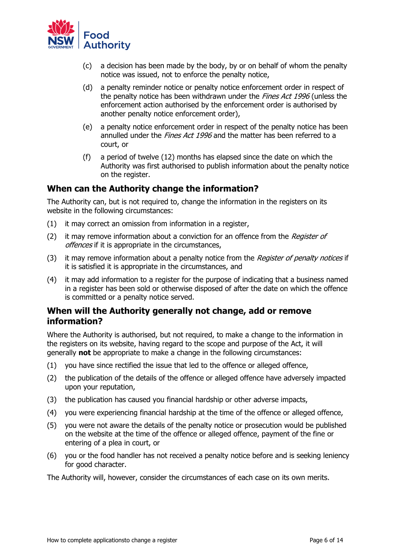

- (c) a decision has been made by the body, by or on behalf of whom the penalty notice was issued, not to enforce the penalty notice,
- (d) a penalty reminder notice or penalty notice enforcement order in respect of the penalty notice has been withdrawn under the Fines Act 1996 (unless the enforcement action authorised by the enforcement order is authorised by another penalty notice enforcement order),
- (e) a penalty notice enforcement order in respect of the penalty notice has been annulled under the *Fines Act 1996* and the matter has been referred to a court, or
- (f) a period of twelve (12) months has elapsed since the date on which the Authority was first authorised to publish information about the penalty notice on the register.

## <span id="page-5-0"></span>**When can the Authority change the information?**

The Authority can, but is not required to, change the information in the registers on its website in the following circumstances:

- (1) it may correct an omission from information in a register,
- (2) it may remove information about a conviction for an offence from the Register of offences if it is appropriate in the circumstances,
- (3) it may remove information about a penalty notice from the Register of penalty notices if it is satisfied it is appropriate in the circumstances, and
- (4) it may add information to a register for the purpose of indicating that a business named in a register has been sold or otherwise disposed of after the date on which the offence is committed or a penalty notice served.

# <span id="page-5-1"></span>**When will the Authority generally not change, add or remove information?**

Where the Authority is authorised, but not required, to make a change to the information in the registers on its website, having regard to the scope and purpose of the Act, it will generally **not** be appropriate to make a change in the following circumstances:

- (1) you have since rectified the issue that led to the offence or alleged offence,
- (2) the publication of the details of the offence or alleged offence have adversely impacted upon your reputation,
- (3) the publication has caused you financial hardship or other adverse impacts,
- (4) you were experiencing financial hardship at the time of the offence or alleged offence,
- (5) you were not aware the details of the penalty notice or prosecution would be published on the website at the time of the offence or alleged offence, payment of the fine or entering of a plea in court, or
- (6) you or the food handler has not received a penalty notice before and is seeking leniency for good character.

The Authority will, however, consider the circumstances of each case on its own merits.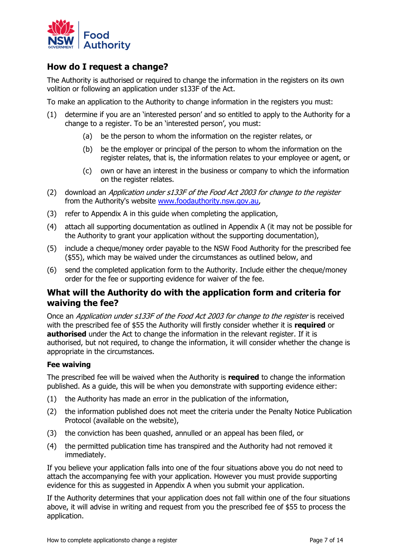

# <span id="page-6-0"></span>**How do I request a change?**

The Authority is authorised or required to change the information in the registers on its own volition or following an application under s133F of the Act.

To make an application to the Authority to change information in the registers you must:

- (1) determine if you are an 'interested person' and so entitled to apply to the Authority for a change to a register. To be an 'interested person', you must:
	- (a) be the person to whom the information on the register relates, or
	- (b) be the employer or principal of the person to whom the information on the register relates, that is, the information relates to your employee or agent, or
	- (c) own or have an interest in the business or company to which the information on the register relates.
- (2) download an Application under s133F of the Food Act 2003 for change to the register from the Authority's website [www.foodauthority.nsw.gov.au,](http://www.foodauthority.nsw.gov.au/)
- (3) refer to Appendix A in this guide when completing the application,
- (4) attach all supporting documentation as outlined in Appendix A (it may not be possible for the Authority to grant your application without the supporting documentation),
- (5) include a cheque/money order payable to the NSW Food Authority for the prescribed fee (\$55), which may be waived under the circumstances as outlined below, and
- (6) send the completed application form to the Authority. Include either the cheque/money order for the fee or supporting evidence for waiver of the fee.

# <span id="page-6-1"></span>**What will the Authority do with the application form and criteria for waiving the fee?**

Once an Application under s133F of the Food Act 2003 for change to the register is received with the prescribed fee of \$55 the Authority will firstly consider whether it is **required** or **authorised** under the Act to change the information in the relevant register. If it is authorised, but not required, to change the information, it will consider whether the change is appropriate in the circumstances.

## <span id="page-6-2"></span>**Fee waiving**

The prescribed fee will be waived when the Authority is **required** to change the information published. As a guide, this will be when you demonstrate with supporting evidence either:

- (1) the Authority has made an error in the publication of the information,
- (2) the information published does not meet the criteria under the Penalty Notice Publication Protocol (available on the website),
- (3) the conviction has been quashed, annulled or an appeal has been filed, or
- (4) the permitted publication time has transpired and the Authority had not removed it immediately.

If you believe your application falls into one of the four situations above you do not need to attach the accompanying fee with your application. However you must provide supporting evidence for this as suggested in Appendix A when you submit your application.

If the Authority determines that your application does not fall within one of the four situations above, it will advise in writing and request from you the prescribed fee of \$55 to process the application.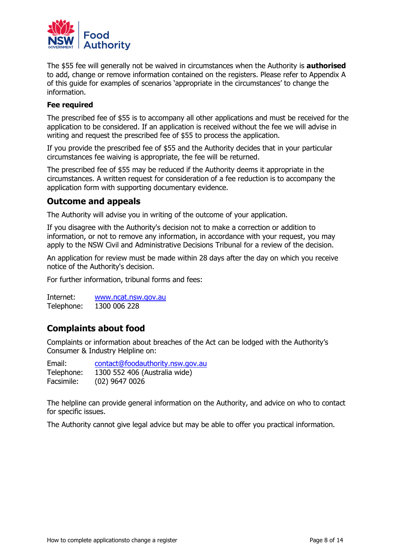

The \$55 fee will generally not be waived in circumstances when the Authority is **authorised** to add, change or remove information contained on the registers. Please refer to Appendix A of this guide for examples of scenarios 'appropriate in the circumstances' to change the information.

#### <span id="page-7-0"></span>**Fee required**

The prescribed fee of \$55 is to accompany all other applications and must be received for the application to be considered. If an application is received without the fee we will advise in writing and request the prescribed fee of \$55 to process the application.

If you provide the prescribed fee of \$55 and the Authority decides that in your particular circumstances fee waiving is appropriate, the fee will be returned.

The prescribed fee of \$55 may be reduced if the Authority deems it appropriate in the circumstances. A written request for consideration of a fee reduction is to accompany the application form with supporting documentary evidence.

# <span id="page-7-1"></span>**Outcome and appeals**

The Authority will advise you in writing of the outcome of your application.

If you disagree with the Authority's decision not to make a correction or addition to information, or not to remove any information, in accordance with your request, you may apply to the NSW Civil and Administrative Decisions Tribunal for a review of the decision.

An application for review must be made within 28 days after the day on which you receive notice of the Authority's decision.

For further information, tribunal forms and fees:

Internet: [www.ncat.nsw.gov.au](http://www.ncat.nsw.gov.au/) Telephone: 1300 006 228

# <span id="page-7-2"></span>**Complaints about food**

Complaints or information about breaches of the Act can be lodged with the Authority's Consumer & Industry Helpline on:

Email: [contact@foodauthority.nsw.gov.au](mailto:contact@foodauthority.nsw.gov.au) Telephone: 1300 552 406 (Australia wide) Facsimile: (02) 9647 0026

The helpline can provide general information on the Authority, and advice on who to contact for specific issues.

The Authority cannot give legal advice but may be able to offer you practical information.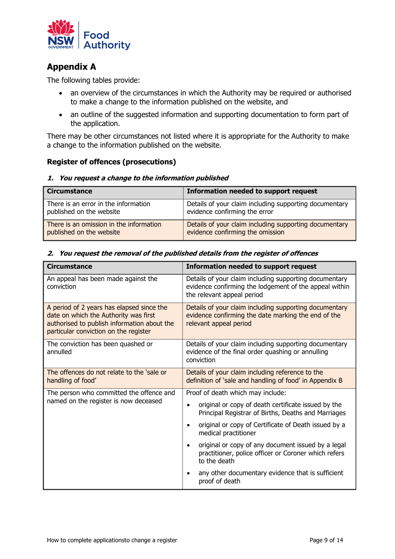

# <span id="page-8-0"></span>**Appendix A**

The following tables provide:

- an overview of the circumstances in which the Authority may be required or authorised to make a change to the information published on the website, and
- an outline of the suggested information and supporting documentation to form part of the application.

There may be other circumstances not listed where it is appropriate for the Authority to make a change to the information published on the website.

#### <span id="page-8-1"></span>**Register of offences (prosecutions)**

#### **1. You request a change to the information published**

| <b>Circumstance</b>                     | Information needed to support request                  |
|-----------------------------------------|--------------------------------------------------------|
| There is an error in the information    | Details of your claim including supporting documentary |
| published on the website                | evidence confirming the error                          |
| There is an omission in the information | Details of your claim including supporting documentary |
| published on the website                | evidence confirming the omission                       |

#### **Circumstance Information needed to support request**  An appeal has been made against the conviction Details of your claim including supporting documentary evidence confirming the lodgement of the appeal within the relevant appeal period A period of 2 years has elapsed since the date on which the Authority was first authorised to publish information about the particular conviction on the register Details of your claim including supporting documentary evidence confirming the date marking the end of the relevant appeal period The conviction has been quashed or annulled Details of your claim including supporting documentary evidence of the final order quashing or annulling conviction The offences do not relate to the 'sale or handling of food' Details of your claim including reference to the definition of 'sale and handling of food' in Appendix B The person who committed the offence and named on the register is now deceased Proof of death which may include: • original or copy of death certificate issued by the Principal Registrar of Births, Deaths and Marriages original or copy of Certificate of Death issued by a medical practitioner • original or copy of any document issued by a legal practitioner, police officer or Coroner which refers to the death • any other documentary evidence that is sufficient proof of death

#### **2. You request the removal of the published details from the register of offences**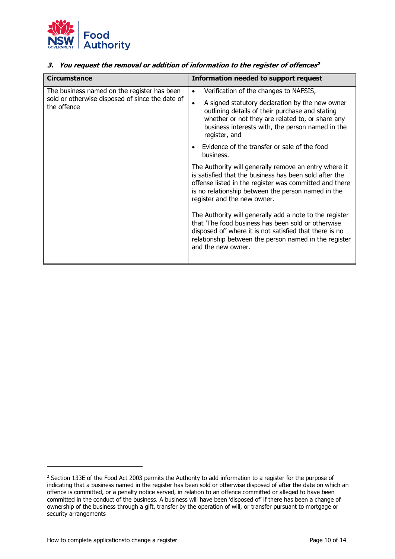

| 3. You request the removal or addition of information to the register of offences <sup>2</sup>                |                                                                                                                                                                                                                                                                                                 |
|---------------------------------------------------------------------------------------------------------------|-------------------------------------------------------------------------------------------------------------------------------------------------------------------------------------------------------------------------------------------------------------------------------------------------|
| <b>Circumstance</b>                                                                                           | Information needed to support request                                                                                                                                                                                                                                                           |
| The business named on the register has been<br>sold or otherwise disposed of since the date of<br>the offence | Verification of the changes to NAFSIS,<br>$\bullet$<br>A signed statutory declaration by the new owner<br>$\bullet$<br>outlining details of their purchase and stating<br>whether or not they are related to, or share any<br>business interests with, the person named in the<br>register, and |
|                                                                                                               | Evidence of the transfer or sale of the food<br>business.                                                                                                                                                                                                                                       |
|                                                                                                               | The Authority will generally remove an entry where it<br>is satisfied that the business has been sold after the<br>offense listed in the register was committed and there<br>is no relationship between the person named in the<br>register and the new owner.                                  |
|                                                                                                               | The Authority will generally add a note to the register<br>that 'The food business has been sold or otherwise<br>disposed of' where it is not satisfied that there is no                                                                                                                        |

and the new owner.

relationship between the person named in the register

j

<sup>&</sup>lt;sup>2</sup> Section 133E of the Food Act 2003 permits the Authority to add information to a register for the purpose of indicating that a business named in the register has been sold or otherwise disposed of after the date on which an offence is committed, or a penalty notice served, in relation to an offence committed or alleged to have been committed in the conduct of the business. A business will have been 'disposed of' if there has been a change of ownership of the business through a gift, transfer by the operation of will, or transfer pursuant to mortgage or security arrangements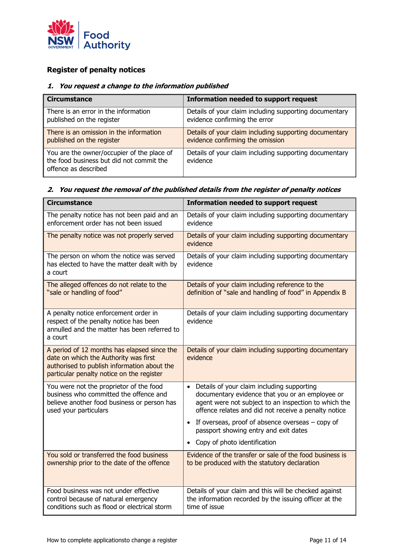

# <span id="page-10-0"></span>**Register of penalty notices**

#### **1. You request a change to the information published**

| <b>Circumstance</b>                                                                                            | <b>Information needed to support request</b>                       |
|----------------------------------------------------------------------------------------------------------------|--------------------------------------------------------------------|
| There is an error in the information                                                                           | Details of your claim including supporting documentary             |
| published on the register                                                                                      | evidence confirming the error                                      |
| There is an omission in the information                                                                        | Details of your claim including supporting documentary             |
| published on the register                                                                                      | evidence confirming the omission                                   |
| You are the owner/occupier of the place of<br>the food business but did not commit the<br>offence as described | Details of your claim including supporting documentary<br>evidence |

## **2. You request the removal of the published details from the register of penalty notices**

| <b>Circumstance</b>                                                                                                                                                              | <b>Information needed to support request</b>                                                                                                                                                                               |
|----------------------------------------------------------------------------------------------------------------------------------------------------------------------------------|----------------------------------------------------------------------------------------------------------------------------------------------------------------------------------------------------------------------------|
| The penalty notice has not been paid and an<br>enforcement order has not been issued                                                                                             | Details of your claim including supporting documentary<br>evidence                                                                                                                                                         |
| The penalty notice was not properly served                                                                                                                                       | Details of your claim including supporting documentary<br>evidence                                                                                                                                                         |
| The person on whom the notice was served<br>has elected to have the matter dealt with by<br>a court                                                                              | Details of your claim including supporting documentary<br>evidence                                                                                                                                                         |
| The alleged offences do not relate to the<br>"sale or handling of food"                                                                                                          | Details of your claim including reference to the<br>definition of "sale and handling of food" in Appendix B                                                                                                                |
| A penalty notice enforcement order in<br>respect of the penalty notice has been<br>annulled and the matter has been referred to<br>a court                                       | Details of your claim including supporting documentary<br>evidence                                                                                                                                                         |
| A period of 12 months has elapsed since the<br>date on which the Authority was first<br>authorised to publish information about the<br>particular penalty notice on the register | Details of your claim including supporting documentary<br>evidence                                                                                                                                                         |
| You were not the proprietor of the food<br>business who committed the offence and<br>believe another food business or person has<br>used your particulars                        | Details of your claim including supporting<br>$\bullet$<br>documentary evidence that you or an employee or<br>agent were not subject to an inspection to which the<br>offence relates and did not receive a penalty notice |
|                                                                                                                                                                                  | If overseas, proof of absence overseas $-$ copy of<br>passport showing entry and exit dates                                                                                                                                |
|                                                                                                                                                                                  | Copy of photo identification                                                                                                                                                                                               |
| You sold or transferred the food business<br>ownership prior to the date of the offence                                                                                          | Evidence of the transfer or sale of the food business is<br>to be produced with the statutory declaration                                                                                                                  |
| Food business was not under effective<br>control because of natural emergency<br>conditions such as flood or electrical storm                                                    | Details of your claim and this will be checked against<br>the information recorded by the issuing officer at the<br>time of issue                                                                                          |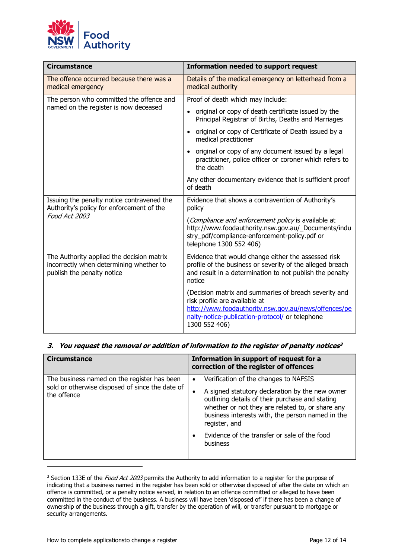

| <b>Circumstance</b>                                                                                                | <b>Information needed to support request</b>                                                                                                                                                                       |
|--------------------------------------------------------------------------------------------------------------------|--------------------------------------------------------------------------------------------------------------------------------------------------------------------------------------------------------------------|
| The offence occurred because there was a<br>medical emergency                                                      | Details of the medical emergency on letterhead from a<br>medical authority                                                                                                                                         |
| The person who committed the offence and<br>named on the register is now deceased                                  | Proof of death which may include:                                                                                                                                                                                  |
|                                                                                                                    | original or copy of death certificate issued by the<br>$\bullet$<br>Principal Registrar of Births, Deaths and Marriages                                                                                            |
|                                                                                                                    | original or copy of Certificate of Death issued by a<br>$\bullet$<br>medical practitioner                                                                                                                          |
|                                                                                                                    | original or copy of any document issued by a legal<br>$\bullet$<br>practitioner, police officer or coroner which refers to<br>the death                                                                            |
|                                                                                                                    | Any other documentary evidence that is sufficient proof<br>of death                                                                                                                                                |
| Issuing the penalty notice contravened the<br>Authority's policy for enforcement of the<br>Food Act 2003           | Evidence that shows a contravention of Authority's<br>policy                                                                                                                                                       |
|                                                                                                                    | (Compliance and enforcement policy is available at<br>http://www.foodauthority.nsw.gov.au/_Documents/indu<br>stry_pdf/compliance-enforcement-policy.pdf or<br>telephone 1300 552 406)                              |
| The Authority applied the decision matrix<br>incorrectly when determining whether to<br>publish the penalty notice | Evidence that would change either the assessed risk<br>profile of the business or severity of the alleged breach<br>and result in a determination to not publish the penalty<br>notice                             |
|                                                                                                                    | (Decision matrix and summaries of breach severity and<br>risk profile are available at<br>http://www.foodauthority.nsw.gov.au/news/offences/pe<br>nalty-notice-publication-protocol/ or telephone<br>1300 552 406) |

#### **3. You request the removal or addition of information to the register of penalty notices 3**

| <b>Circumstance</b>                                                                                           | Information in support of request for a<br>correction of the register of offences                                                                                                                                                                                                                                                                  |
|---------------------------------------------------------------------------------------------------------------|----------------------------------------------------------------------------------------------------------------------------------------------------------------------------------------------------------------------------------------------------------------------------------------------------------------------------------------------------|
| The business named on the register has been<br>sold or otherwise disposed of since the date of<br>the offence | Verification of the changes to NAFSIS<br>$\bullet$<br>A signed statutory declaration by the new owner<br>٠<br>outlining details of their purchase and stating<br>whether or not they are related to, or share any<br>business interests with, the person named in the<br>register, and<br>Evidence of the transfer or sale of the food<br>business |

<sup>&</sup>lt;sup>3</sup> Section 133E of the *Food Act 2003* permits the Authority to add information to a register for the purpose of indicating that a business named in the register has been sold or otherwise disposed of after the date on which an offence is committed, or a penalty notice served, in relation to an offence committed or alleged to have been committed in the conduct of the business. A business will have been 'disposed of' if there has been a change of ownership of the business through a gift, transfer by the operation of will, or transfer pursuant to mortgage or security arrangements.

j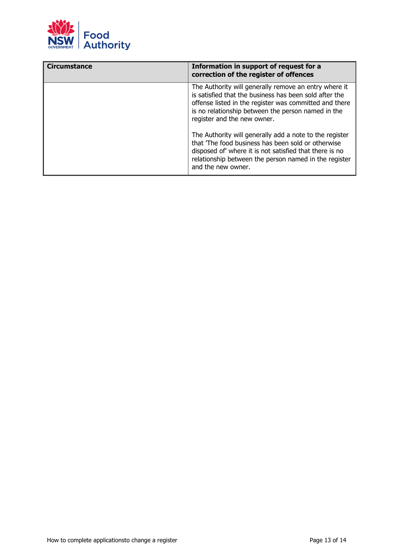

<span id="page-12-0"></span>

| <b>Circumstance</b> | Information in support of request for a<br>correction of the register of offences                                                                                                                                                                              |
|---------------------|----------------------------------------------------------------------------------------------------------------------------------------------------------------------------------------------------------------------------------------------------------------|
|                     | The Authority will generally remove an entry where it<br>is satisfied that the business has been sold after the<br>offense listed in the register was committed and there<br>is no relationship between the person named in the<br>register and the new owner. |
|                     | The Authority will generally add a note to the register<br>that 'The food business has been sold or otherwise<br>disposed of' where it is not satisfied that there is no<br>relationship between the person named in the register<br>and the new owner.        |